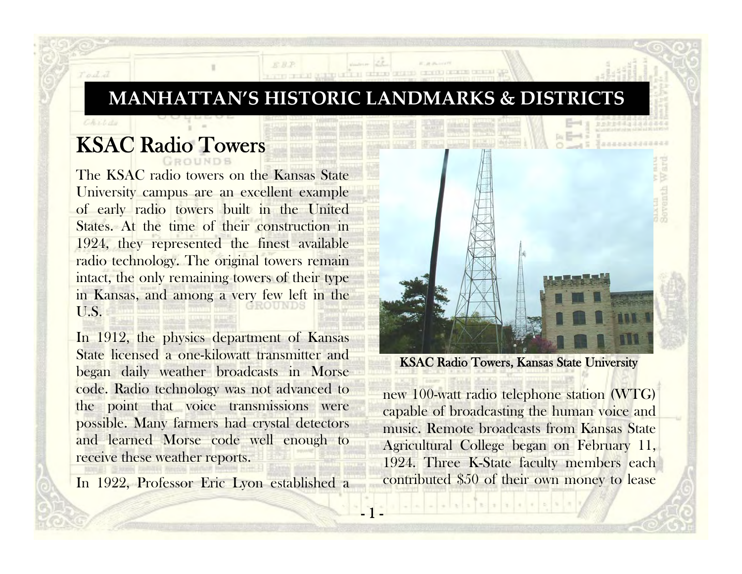## **MANHATTAN'S HISTORIC LANDMARKS & DISTRICTS**

THE REPORT OF THE REPORT OF THE REAL PROPERTY.

1 -

## KSAC Radio Towers

Todd

The KSAC radio towers on the Kansas State University campus are an excellent example of early radio towers built in the United States. At the time of their construction in 1924, they represented the finest available radio technology. The original towers remain intact, the only remaining towers of their type in Kansas, and among a very few left in the U.S.

In 1912, the physics department of Kansas State licensed a one-kilowatt transmitter and began daily weather broadcasts in Morse code. Radio technology was not advanced to the point that voice transmissions were possible. Many farmers had crystal detectors and learned Morse code well enough to receive these weather reports.

In 1922, Professor Eric Lyon established a



## KSAC Radio Towers, Kansas State University

new 100-watt radio telephone station (WTG) capable of broadcasting the human voice and music. Remote broadcasts from Kansas State Agricultural College began on February 11, 1924. Three K-State faculty members each contributed \$50 of their own money to lease

 $1.123 + 1.414$